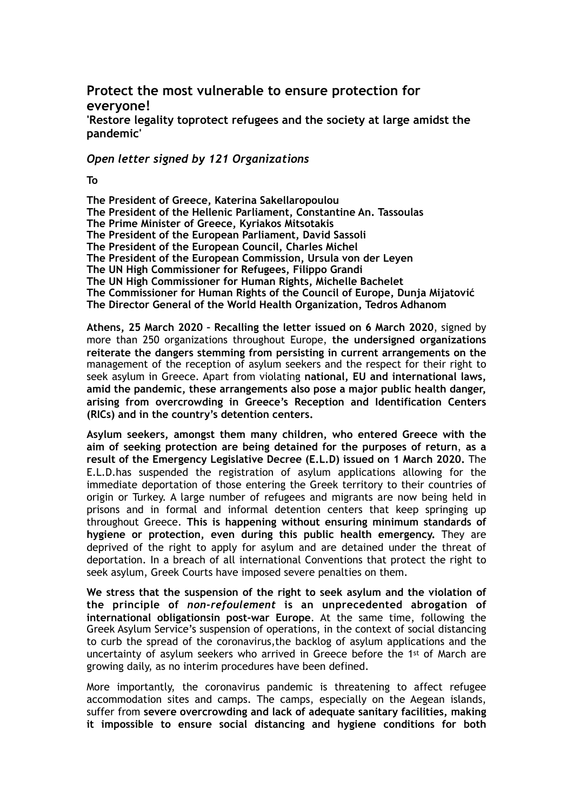# **Protect the most vulnerable to ensure protection for everyone!**

**'Restore legality toprotect refugees and the society at large amidst the pandemic'** 

## *Open letter signed by 121 Organizations*

#### **To**

**The President of Greece, Katerina Sakellaropoulou The President of the Hellenic Parliament, Constantine An. Tassoulas The Prime Minister of Greece, Kyriakos Mitsotakis The President of the European Parliament, David Sassoli The President of the European Council, Charles Michel The President of the European Commission, Ursula von der Leyen The UN High Commissioner for Refugees, Filippo Grandi The UN High Commissioner for Human Rights, Michelle Bachelet The Commissioner for Human Rights of the Council of Europe, Dunja Mijatović The Director General of the World Health Organization, Tedros Adhanom**

**Athens, 25 March 2020 – Recalling the letter issued on 6 March 2020**, signed by more than 250 organizations throughout Europe, **the undersigned organizations reiterate the dangers stemming from persisting in current arrangements on the**  management of the reception of asylum seekers and the respect for their right to seek asylum in Greece. Apart from violating **national, EU and international laws, amid the pandemic, these arrangements also pose a major public health danger, arising from overcrowding in Greece's Reception and Identification Centers (RICs) and in the country's detention centers.** 

**Asylum seekers, amongst them many children, who entered Greece with the aim of seeking protection are being detained for the purposes of return**, **as a result of the Emergency Legislative Decree (E.L.D) issued on 1 March 2020.** The E.L.D.has suspended the registration of asylum applications allowing for the immediate deportation of those entering the Greek territory to their countries of origin or Turkey. A large number of refugees and migrants are now being held in prisons and in formal and informal detention centers that keep springing up throughout Greece. **This is happening without ensuring minimum standards of hygiene or protection, even during this public health emergency.** They are deprived of the right to apply for asylum and are detained under the threat of deportation. In a breach of all international Conventions that protect the right to seek asylum, Greek Courts have imposed severe penalties on them.

**We stress that the suspension of the right to seek asylum and the violation of the principle of** *non-refoulement* **is an unprecedented abrogation of international obligationsin post-war Europe**. At the same time, following the Greek Asylum Service's suspension of operations, in the context of social distancing to curb the spread of the coronavirus,the backlog of asylum applications and the uncertainty of asylum seekers who arrived in Greece before the 1st of March are growing daily, as no interim procedures have been defined.

More importantly, the coronavirus pandemic is threatening to affect refugee accommodation sites and camps. The camps, especially on the Aegean islands, suffer from **severe overcrowding and lack of adequate sanitary facilities, making it impossible to ensure social distancing and hygiene conditions for both**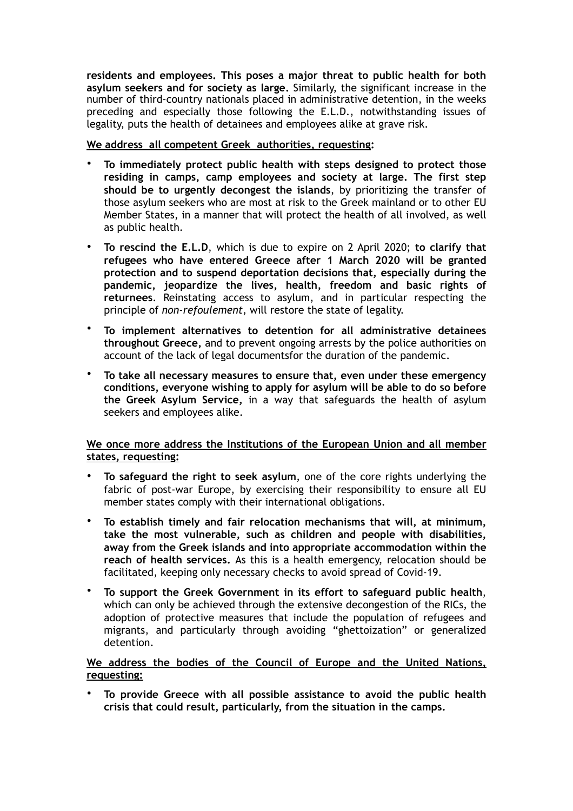**residents and employees. This poses a major threat to public health for both asylum seekers and for society as large.** Similarly, the significant increase in the number of third-country nationals placed in administrative detention, in the weeks preceding and especially those following the E.L.D., notwithstanding issues of legality, puts the health of detainees and employees alike at grave risk.

#### **We address all competent Greek authorities, requesting:**

- **To immediately protect public health with steps designed to protect those residing in camps, camp employees and society at large. The first step should be to urgently decongest the islands**, by prioritizing the transfer of those asylum seekers who are most at risk to the Greek mainland or to other EU Member States, in a manner that will protect the health of all involved, as well as public health.
- **To rescind the E.L.D**, which is due to expire on 2 April 2020; **to clarify that refugees who have entered Greece after 1 March 2020 will be granted protection and to suspend deportation decisions that, especially during the pandemic, jeopardize the lives, health, freedom and basic rights of returnees**. Reinstating access to asylum, and in particular respecting the principle of *non-refoulement*, will restore the state of legality.
- **To implement alternatives to detention for all administrative detainees throughout Greece,** and to prevent ongoing arrests by the police authorities on account of the lack of legal documentsfor the duration of the pandemic.
- **To take all necessary measures to ensure that, even under these emergency conditions, everyone wishing to apply for asylum will be able to do so before the Greek Asylum Service,** in a way that safeguards the health of asylum seekers and employees alike.

### **We once more address the Institutions of the European Union and all member states, requesting:**

- **To safeguard the right to seek asylum**, one of the core rights underlying the fabric of post-war Europe, by exercising their responsibility to ensure all EU member states comply with their international obligations.
- **To establish timely and fair relocation mechanisms that will, at minimum, take the most vulnerable, such as children and people with disabilities, away from the Greek islands and into appropriate accommodation within the reach of health services.** As this is a health emergency, relocation should be facilitated, keeping only necessary checks to avoid spread of Covid-19.
- **To support the Greek Government in its effort to safeguard public health**, which can only be achieved through the extensive decongestion of the RICs, the adoption of protective measures that include the population of refugees and migrants, and particularly through avoiding "ghettoization" or generalized detention.

## **We address the bodies of the Council of Europe and the United Nations, requesting:**

• **To provide Greece with all possible assistance to avoid the public health crisis that could result, particularly, from the situation in the camps.**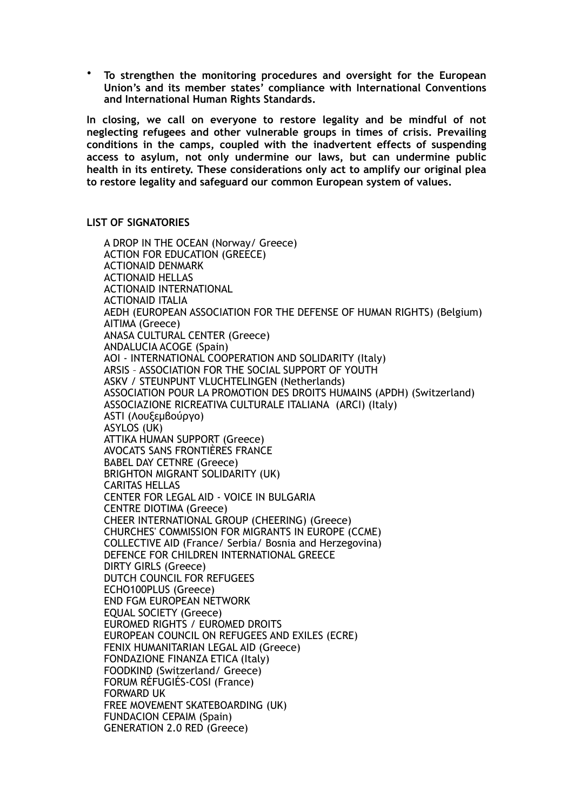• **To strengthen the monitoring procedures and oversight for the European Union's and its member states' compliance with International Conventions and International Human Rights Standards.** 

**In closing, we call on everyone to restore legality and be mindful of not neglecting refugees and other vulnerable groups in times of crisis. Prevailing conditions in the camps, coupled with the inadvertent effects of suspending access to asylum, not only undermine our laws, but can undermine public health in its entirety. These considerations only act to amplify our original plea to restore legality and safeguard our common European system of values.** 

**LIST OF SIGNATORIES** 

A DROP IN THE OCEAN (Norway/ Greece) ACTION FOR EDUCATION (GREECE) ACTIONAID DENMARK ACTIONAID HELLAS ACTIONAID INTERNATIONAL ACTIONAID ITALIA AEDH (EUROPEAN ASSOCIATION FOR THE DEFENSE OF HUMAN RIGHTS) (Belgium) AITIMA (Greece) ANASA CULTURAL CENTER (Greece) ANDALUCIA ACOGE (Spain) AOI - INTERNATIONAL COOPERATION AND SOLIDARITY (Italy) ARSIS – ASSOCIATION FOR THE SOCIAL SUPPORT OF YOUTH ASKV / STEUNPUNT VLUCHTELINGEN (Netherlands) ASSOCIATION POUR LA PROMOTION DES DROITS HUMAINS (APDH) (Switzerland) ASSOCIAZIONE RICREATIVA CULTURALE ITALIANA (ARCI) (Italy) ASTI (Λουξεµβούργο) ASYLOS (UK) ATTIKA HUMAN SUPPORT (Greece) AVOCATS SANS FRONTIÈRES FRANCE BABEL DAY CETNRE (Greece) BRIGHTON MIGRANT SOLIDARITY (UK) CARITAS HELLAS CENTER FOR LEGAL AID - VOICE IN BULGARIA CENTRE DIOTIMA (Greece) CHEER INTERNATIONAL GROUP (CHEERING) (Greece) CHURCHES' COMMISSION FOR MIGRANTS IN EUROPE (CCME) COLLECTIVE AID (France/ Serbia/ Bosnia and Herzegovina) DEFENCE FOR CHILDREN INTERNATIONAL GREECE DIRTY GIRLS (Greece) DUTCH COUNCIL FOR REFUGEES ECHO100PLUS (Greece) END FGM EUROPEAN NETWORK EQUAL SOCIETY (Greece) EUROMED RIGHTS / EUROMED DROITS EUROPEAN COUNCIL ON REFUGEES AND EXILES (ECRE) FENIX HUMANITARIAN LEGAL AID (Greece) FONDAZIONE FINANZA ETICA (Italy) FOODKIND (Switzerland/ Greece) FORUM RÉFUGIÉS-COSI (France) FORWARD UK FREE MOVEMENT SKATEBOARDING (UK) FUNDACION CEPAIM (Spain) GENERATION 2.0 RED (Greece)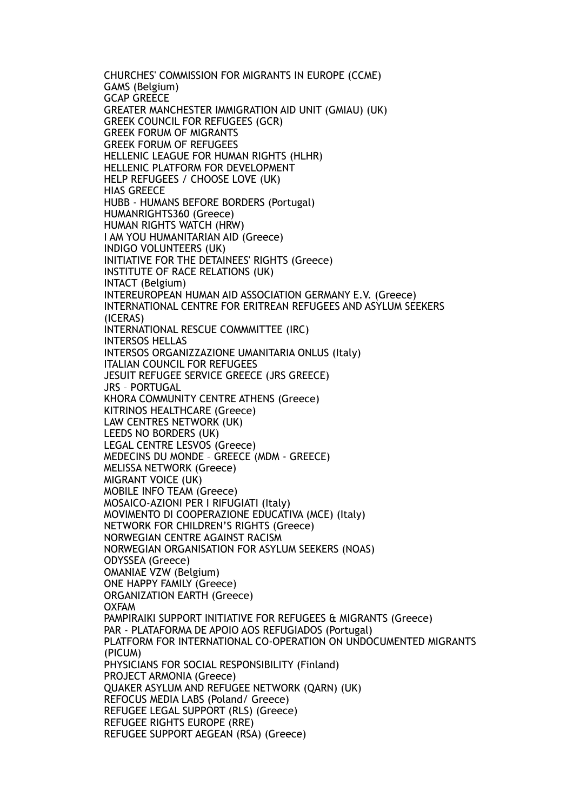CHURCHES' COMMISSION FOR MIGRANTS IN EUROPE (CCME) GAMS (Belgium) GCAP GREECE GREATER MANCHESTER IMMIGRATION AID UNIT (GMIAU) (UK) GREEK COUNCIL FOR REFUGEES (GCR) GREEK FORUM OF MIGRANTS GREEK FORUM OF REFUGEES HELLENIC LEAGUE FOR HUMAN RIGHTS (HLHR) HELLENIC PLATFORM FOR DEVELOPMENT HELP REFUGEES / CHOOSE LOVE (UK) HIAS GREECE HUBB - HUMANS BEFORE BORDERS (Portugal) HUMANRIGHTS360 (Greece) HUMAN RIGHTS WATCH (HRW) I AM YOU HUMANITARIAN AID (Greece) INDIGO VOLUNTEERS (UK) ΙNITIATIVE FOR THE DETAINEES' RIGHTS (Greece) INSTITUTE OF RACE RELATIONS (UK) INTACT (Belgium) INTEREUROPEAN HUMAN AID ASSOCIATION GERMANY E.V. (Greece) INTERNATIONAL CENTRE FOR ERITREAN REFUGEES AND ASYLUM SEEKERS (ICERAS) INTERNATIONAL RESCUE COMMMITTEE (IRC) INTERSOS HELLAS INTERSOS ORGANIZZAZIONE UMANITARIA ONLUS (Italy) ITALIAN COUNCIL FOR REFUGEES JESUIT REFUGEE SERVICE GREECE (JRS GREECE) JRS – PORTUGAL KHORA COMMUNITY CENTRE ATHENS (Greece) KITRINOS HEALTHCARE (Greece) LAW CENTRES NETWORK (UK) LEEDS NO BORDERS (UK) LEGAL CENTRE LESVOS (Greece) MEDECINS DU MONDE – GREECE (MDM - GREECE) MELISSA NETWORK (Greece) MIGRANT VOICE (UK) MOBILE INFO TEAM (Greece) MOSAICO-AZIONI PER I RIFUGIATI (Italy) MOVIMENTO DI COOPERAZIONE EDUCATIVA (MCE) (Italy) NETWORK FOR CHILDREN'S RIGHTS (Greece) NORWEGIAN CENTRE AGAINST RACISM NORWEGIAN ORGANISATION FOR ASYLUM SEEKERS (NOAS) ODYSSEA (Greece) OMANIAE VZW (Belgium) ONE HAPPY FAMILY (Greece) ORGANIZATION EARTH (Greece) OXFAM PAMPIRAIKI SUPPORT INITIATIVE FOR REFUGEES & MIGRANTS (Greece) PAR - PLATAFORMA DE APOIO AOS REFUGIADOS (Portugal) PLATFORM FOR INTERNATIONAL CO-OPERATION ON UNDOCUMENTED MIGRANTS (PICUM) PHYSICIANS FOR SOCIAL RESPONSIBILITY (Finland) PROJECT ARMONIA (Greece) QUAKER ASYLUM AND REFUGEE NETWORK (QARN) (UK) REFOCUS MEDIA LABS (Poland/ Greece) REFUGEE LEGAL SUPPORT (RLS) (Greece) REFUGEE RIGHTS EUROPE (RRE) REFUGEE SUPPORT AEGEAN (RSA) (Greece)